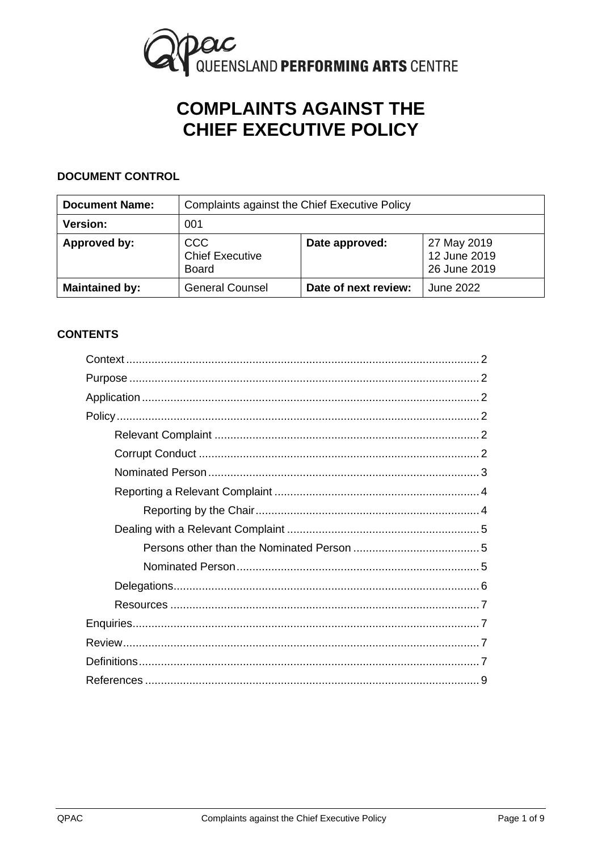

# **COMPLAINTS AGAINST THE CHIEF EXECUTIVE POLICY**

## **DOCUMENT CONTROL**

| <b>Document Name:</b> | <b>Complaints against the Chief Executive Policy</b> |                      |                                             |
|-----------------------|------------------------------------------------------|----------------------|---------------------------------------------|
| <b>Version:</b>       | 001                                                  |                      |                                             |
| Approved by:          | <b>CCC</b><br><b>Chief Executive</b><br><b>Board</b> | Date approved:       | 27 May 2019<br>12 June 2019<br>26 June 2019 |
| <b>Maintained by:</b> | <b>General Counsel</b>                               | Date of next review: | June 2022                                   |

## **CONTENTS**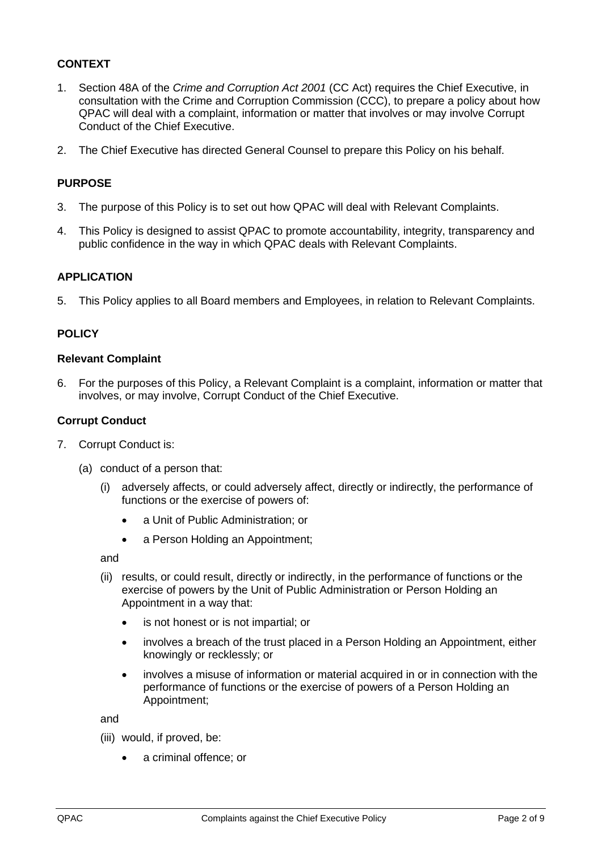## <span id="page-1-0"></span>**CONTEXT**

- 1. Section 48A of the *Crime and Corruption Act 2001* (CC Act) requires the Chief Executive, in consultation with the Crime and Corruption Commission (CCC), to prepare a policy about how QPAC will deal with a complaint, information or matter that involves or may involve Corrupt Conduct of the Chief Executive.
- <span id="page-1-1"></span>2. The Chief Executive has directed General Counsel to prepare this Policy on his behalf.

## **PURPOSE**

- 3. The purpose of this Policy is to set out how QPAC will deal with Relevant Complaints.
- 4. This Policy is designed to assist QPAC to promote accountability, integrity, transparency and public confidence in the way in which QPAC deals with Relevant Complaints.

## <span id="page-1-2"></span>**APPLICATION**

<span id="page-1-3"></span>5. This Policy applies to all Board members and Employees, in relation to Relevant Complaints.

## **POLICY**

#### <span id="page-1-7"></span><span id="page-1-4"></span>**Relevant Complaint**

6. For the purposes of this Policy, a Relevant Complaint is a complaint, information or matter that involves, or may involve, Corrupt Conduct of the Chief Executive.

#### <span id="page-1-6"></span><span id="page-1-5"></span>**Corrupt Conduct**

- 7. Corrupt Conduct is:
	- (a) conduct of a person that:
		- (i) adversely affects, or could adversely affect, directly or indirectly, the performance of functions or the exercise of powers of:
			- a Unit of Public Administration; or
			- a Person Holding an Appointment;

and

- (ii) results, or could result, directly or indirectly, in the performance of functions or the exercise of powers by the Unit of Public Administration or Person Holding an Appointment in a way that:
	- is not honest or is not impartial; or
	- involves a breach of the trust placed in a Person Holding an Appointment, either knowingly or recklessly; or
	- involves a misuse of information or material acquired in or in connection with the performance of functions or the exercise of powers of a Person Holding an Appointment;

and

- (iii) would, if proved, be:
	- a criminal offence; or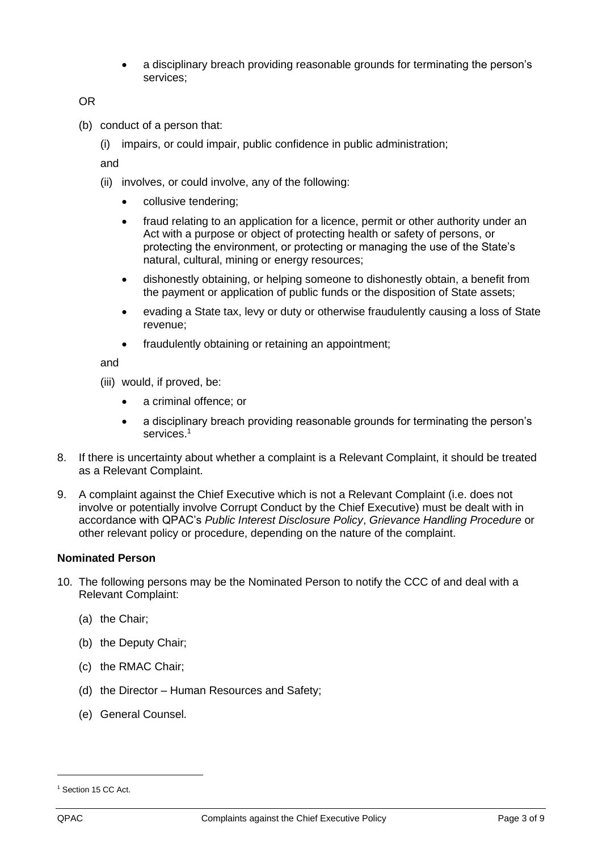• a disciplinary breach providing reasonable grounds for terminating the person's services;

OR

- (b) conduct of a person that:
	- (i) impairs, or could impair, public confidence in public administration;

and

- (ii) involves, or could involve, any of the following:
	- collusive tendering;
	- fraud relating to an application for a licence, permit or other authority under an Act with a purpose or object of protecting health or safety of persons, or protecting the environment, or protecting or managing the use of the State's natural, cultural, mining or energy resources;
	- dishonestly obtaining, or helping someone to dishonestly obtain, a benefit from the payment or application of public funds or the disposition of State assets;
	- evading a State tax, levy or duty or otherwise fraudulently causing a loss of State revenue;
	- fraudulently obtaining or retaining an appointment;

and

- (iii) would, if proved, be:
	- a criminal offence; or
	- a disciplinary breach providing reasonable grounds for terminating the person's services.<sup>1</sup>
- 8. If there is uncertainty about whether a complaint is a Relevant Complaint, it should be treated as a Relevant Complaint.
- 9. A complaint against the Chief Executive which is not a Relevant Complaint (i.e. does not involve or potentially involve Corrupt Conduct by the Chief Executive) must be dealt with in accordance with QPAC's *Public Interest Disclosure Policy*, *Grievance Handling Procedure* or other relevant policy or procedure, depending on the nature of the complaint.

## <span id="page-2-0"></span>**Nominated Person**

- <span id="page-2-1"></span>10. The following persons may be the Nominated Person to notify the CCC of and deal with a Relevant Complaint:
	- (a) the Chair;
	- (b) the Deputy Chair;
	- (c) the RMAC Chair;
	- (d) the Director Human Resources and Safety;
	- (e) General Counsel.

<sup>&</sup>lt;sup>1</sup> Section 15 CC Act.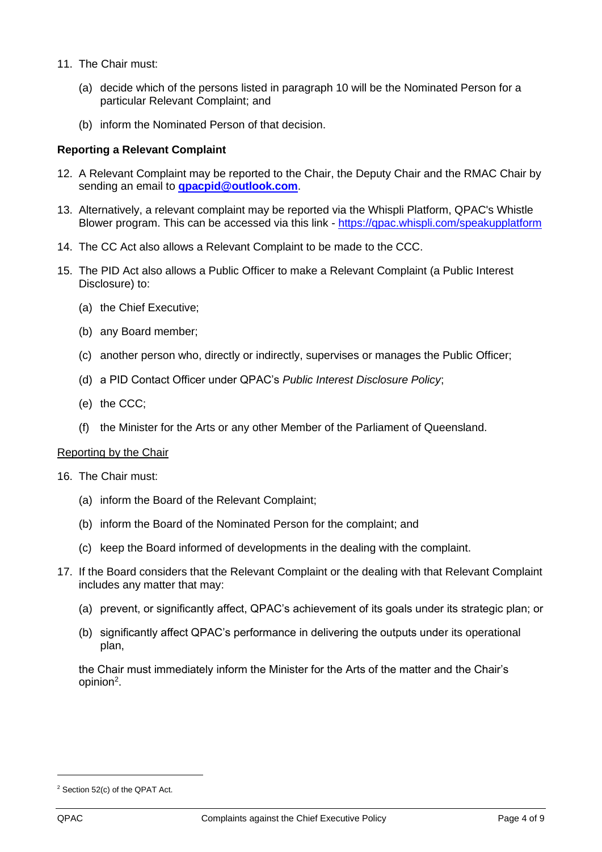- <span id="page-3-2"></span>11. The Chair must:
	- (a) decide which of the persons listed in paragraph [10](#page-2-1) will be the Nominated Person for a particular Relevant Complaint; and
	- (b) inform the Nominated Person of that decision.

#### <span id="page-3-0"></span>**Reporting a Relevant Complaint**

- 12. A Relevant Complaint may be reported to the Chair, the Deputy Chair and the RMAC Chair by sending an email to **[qpacpid@outlook.com](mailto:qpacpid@outlook.com)**.
- 13. Alternatively, a relevant complaint may be reported via the Whispli Platform, QPAC's Whistle Blower program. This can be accessed via this link - <https://qpac.whispli.com/speakupplatform>
- 14. The CC Act also allows a Relevant Complaint to be made to the CCC.
- 15. The PID Act also allows a Public Officer to make a Relevant Complaint (a Public Interest Disclosure) to:
	- (a) the Chief Executive;
	- (b) any Board member;
	- (c) another person who, directly or indirectly, supervises or manages the Public Officer;
	- (d) a PID Contact Officer under QPAC's *Public Interest Disclosure Policy*;
	- (e) the CCC;
	- (f) the Minister for the Arts or any other Member of the Parliament of Queensland.

#### <span id="page-3-1"></span>Reporting by the Chair

16. The Chair must:

- (a) inform the Board of the Relevant Complaint;
- (b) inform the Board of the Nominated Person for the complaint; and
- (c) keep the Board informed of developments in the dealing with the complaint.
- 17. If the Board considers that the Relevant Complaint or the dealing with that Relevant Complaint includes any matter that may:
	- (a) prevent, or significantly affect, QPAC's achievement of its goals under its strategic plan; or
	- (b) significantly affect QPAC's performance in delivering the outputs under its operational plan,

the Chair must immediately inform the Minister for the Arts of the matter and the Chair's opinion<sup>2</sup>.

<sup>2</sup> Section 52(c) of the QPAT Act.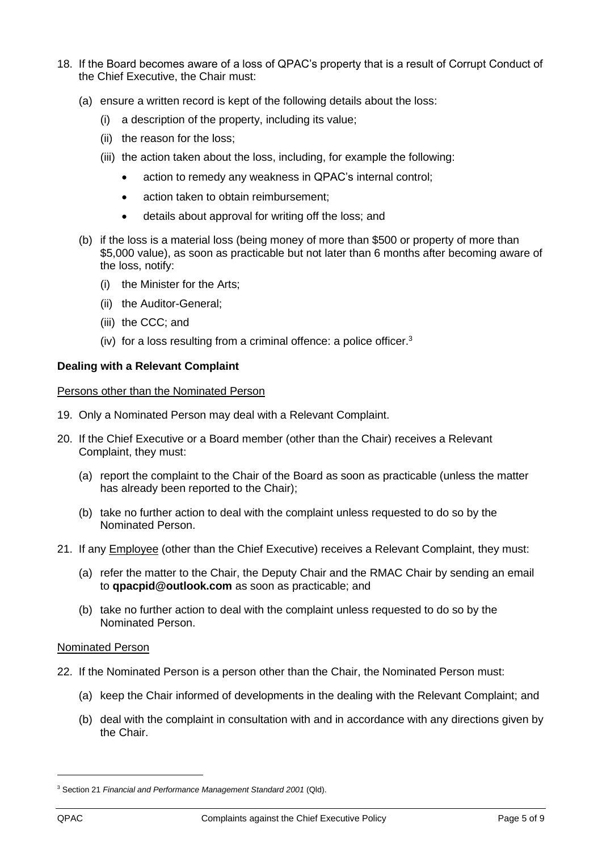- 18. If the Board becomes aware of a loss of QPAC's property that is a result of Corrupt Conduct of the Chief Executive, the Chair must:
	- (a) ensure a written record is kept of the following details about the loss:
		- (i) a description of the property, including its value;
		- (ii) the reason for the loss;
		- (iii) the action taken about the loss, including, for example the following:
			- action to remedy any weakness in QPAC's internal control:
			- action taken to obtain reimbursement:
			- details about approval for writing off the loss; and
	- (b) if the loss is a material loss (being money of more than \$500 or property of more than \$5,000 value), as soon as practicable but not later than 6 months after becoming aware of the loss, notify:
		- (i) the Minister for the Arts;
		- (ii) the Auditor-General;
		- (iii) the CCC; and
		- (iv) for a loss resulting from a criminal offence: a police officer. $3$

## <span id="page-4-0"></span>**Dealing with a Relevant Complaint**

#### <span id="page-4-1"></span>Persons other than the Nominated Person

- 19. Only a Nominated Person may deal with a Relevant Complaint.
- 20. If the Chief Executive or a Board member (other than the Chair) receives a Relevant Complaint, they must:
	- (a) report the complaint to the Chair of the Board as soon as practicable (unless the matter has already been reported to the Chair);
	- (b) take no further action to deal with the complaint unless requested to do so by the Nominated Person.
- 21. If any Employee (other than the Chief Executive) receives a Relevant Complaint, they must:
	- (a) refer the matter to the Chair, the Deputy Chair and the RMAC Chair by sending an email to **qpacpid@outlook.com** as soon as practicable; and
	- (b) take no further action to deal with the complaint unless requested to do so by the Nominated Person.

## <span id="page-4-2"></span>Nominated Person

- 22. If the Nominated Person is a person other than the Chair, the Nominated Person must:
	- (a) keep the Chair informed of developments in the dealing with the Relevant Complaint; and
	- (b) deal with the complaint in consultation with and in accordance with any directions given by the Chair.

<sup>3</sup> Section 21 *Financial and Performance Management Standard 2001* (Qld).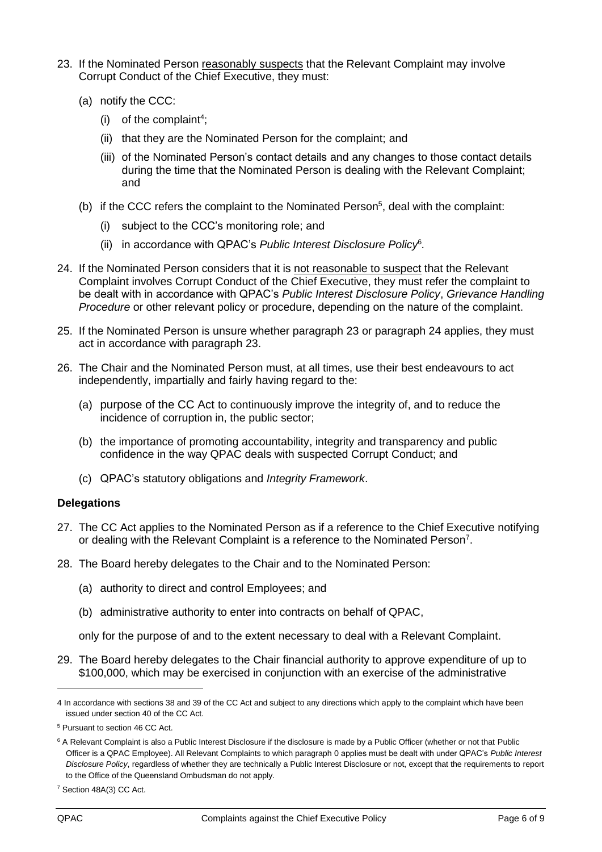- <span id="page-5-1"></span>23. If the Nominated Person reasonably suspects that the Relevant Complaint may involve Corrupt Conduct of the Chief Executive, they must:
	- (a) notify the CCC:
		- $(i)$  of the complaint<sup>4</sup>;
		- (ii) that they are the Nominated Person for the complaint; and
		- (iii) of the Nominated Person's contact details and any changes to those contact details during the time that the Nominated Person is dealing with the Relevant Complaint; and
	- (b) if the CCC refers the complaint to the Nominated Person<sup>5</sup>, deal with the complaint:
		- (i) subject to the CCC's monitoring role; and
		- (ii) in accordance with QPAC's *Public Interest Disclosure Policy*<sup>6</sup> *.*
- <span id="page-5-2"></span>24. If the Nominated Person considers that it is not reasonable to suspect that the Relevant Complaint involves Corrupt Conduct of the Chief Executive, they must refer the complaint to be dealt with in accordance with QPAC's *Public Interest Disclosure Policy*, *Grievance Handling Procedure* or other relevant policy or procedure, depending on the nature of the complaint.
- 25. If the Nominated Person is unsure whether paragraph [23](#page-5-1) or paragraph [24](#page-5-2) applies, they must act in accordance with paragraph [23.](#page-5-1)
- 26. The Chair and the Nominated Person must, at all times, use their best endeavours to act independently, impartially and fairly having regard to the:
	- (a) purpose of the CC Act to continuously improve the integrity of, and to reduce the incidence of corruption in, the public sector;
	- (b) the importance of promoting accountability, integrity and transparency and public confidence in the way QPAC deals with suspected Corrupt Conduct; and
	- (c) QPAC's statutory obligations and *Integrity Framework*.

## <span id="page-5-0"></span>**Delegations**

- 27. The CC Act applies to the Nominated Person as if a reference to the Chief Executive notifying or dealing with the Relevant Complaint is a reference to the Nominated Person<sup>7</sup>.
- <span id="page-5-4"></span><span id="page-5-3"></span>28. The Board hereby delegates to the Chair and to the Nominated Person:
	- (a) authority to direct and control Employees; and
	- (b) administrative authority to enter into contracts on behalf of QPAC,

only for the purpose of and to the extent necessary to deal with a Relevant Complaint.

<span id="page-5-5"></span>29. The Board hereby delegates to the Chair financial authority to approve expenditure of up to \$100,000, which may be exercised in conjunction with an exercise of the administrative

<sup>4</sup> In accordance with sections 38 and 39 of the CC Act and subject to any directions which apply to the complaint which have been issued under section 40 of the CC Act.

<sup>5</sup> Pursuant to section 46 CC Act.

<sup>&</sup>lt;sup>6</sup> A Relevant Complaint is also a Public Interest Disclosure if the disclosure is made by a Public Officer (whether or not that Public Officer is a QPAC Employee). All Relevant Complaints to which paragrap[h 0](#page-4-2) applies must be dealt with under QPAC's *Public Interest Disclosure Policy*, regardless of whether they are technically a Public Interest Disclosure or not, except that the requirements to report to the Office of the Queensland Ombudsman do not apply.

<sup>7</sup> Section 48A(3) CC Act.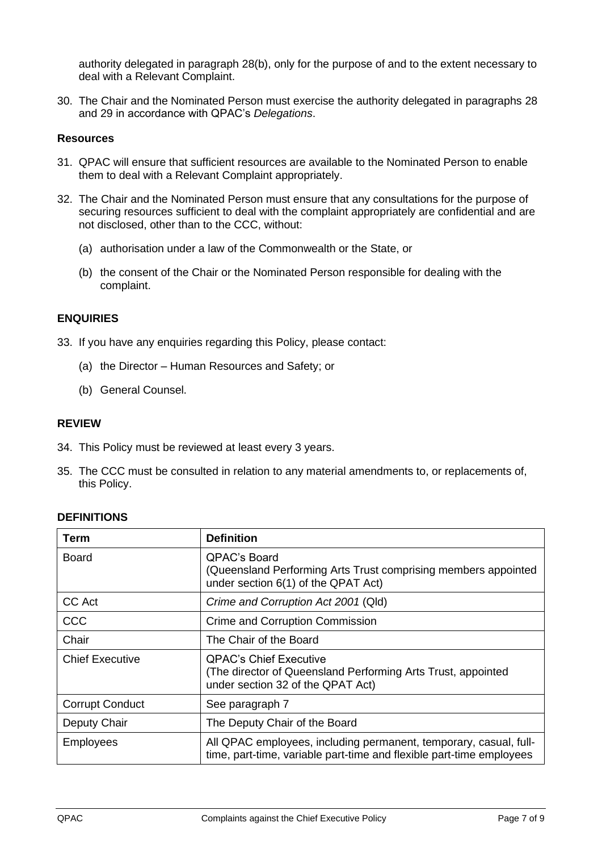authority delegated in paragraph [28\(b\),](#page-5-3) only for the purpose of and to the extent necessary to deal with a Relevant Complaint.

30. The Chair and the Nominated Person must exercise the authority delegated in paragraphs [28](#page-5-4) and [29](#page-5-5) in accordance with QPAC's *Delegations*.

#### <span id="page-6-0"></span>**Resources**

- 31. QPAC will ensure that sufficient resources are available to the Nominated Person to enable them to deal with a Relevant Complaint appropriately.
- 32. The Chair and the Nominated Person must ensure that any consultations for the purpose of securing resources sufficient to deal with the complaint appropriately are confidential and are not disclosed, other than to the CCC, without:
	- (a) authorisation under a law of the Commonwealth or the State, or
	- (b) the consent of the Chair or the Nominated Person responsible for dealing with the complaint.

## <span id="page-6-1"></span>**ENQUIRIES**

- 33. If you have any enquiries regarding this Policy, please contact:
	- (a) the Director Human Resources and Safety; or
	- (b) General Counsel.

## <span id="page-6-2"></span>**REVIEW**

- 34. This Policy must be reviewed at least every 3 years.
- 35. The CCC must be consulted in relation to any material amendments to, or replacements of, this Policy.

## <span id="page-6-3"></span>**DEFINITIONS**

| Term                   | <b>Definition</b>                                                                                                                         |
|------------------------|-------------------------------------------------------------------------------------------------------------------------------------------|
| <b>Board</b>           | <b>QPAC's Board</b><br>(Queensland Performing Arts Trust comprising members appointed<br>under section 6(1) of the QPAT Act)              |
| CC Act                 | Crime and Corruption Act 2001 (Qld)                                                                                                       |
| CCC                    | <b>Crime and Corruption Commission</b>                                                                                                    |
| Chair                  | The Chair of the Board                                                                                                                    |
| <b>Chief Executive</b> | <b>QPAC's Chief Executive</b><br>(The director of Queensland Performing Arts Trust, appointed<br>under section 32 of the QPAT Act)        |
| <b>Corrupt Conduct</b> | See paragraph 7                                                                                                                           |
| Deputy Chair           | The Deputy Chair of the Board                                                                                                             |
| <b>Employees</b>       | All QPAC employees, including permanent, temporary, casual, full-<br>time, part-time, variable part-time and flexible part-time employees |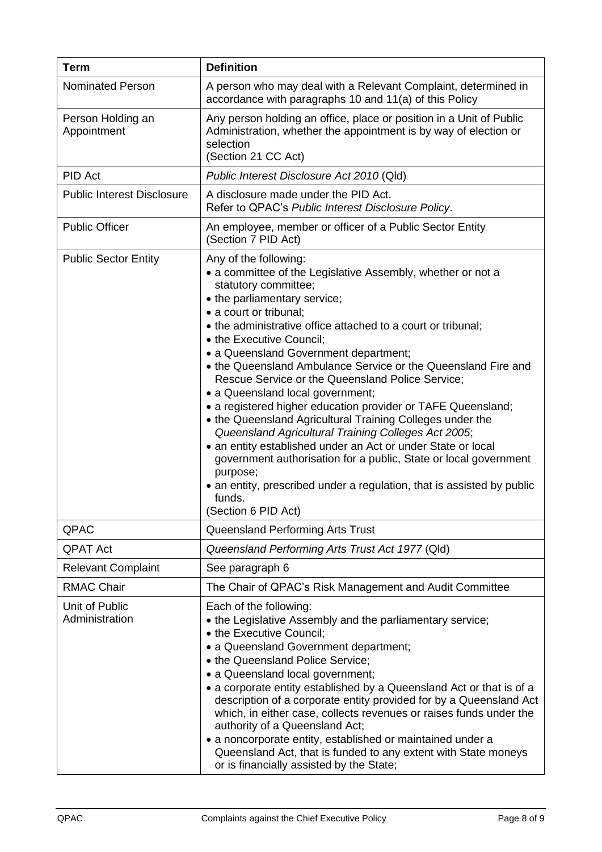| <b>Term</b>                       | <b>Definition</b>                                                                                                                                                                                                                                                                                                                                                                                                                                                                                                                                                                                                                                                                                                                                                                                                                                                                                                   |  |
|-----------------------------------|---------------------------------------------------------------------------------------------------------------------------------------------------------------------------------------------------------------------------------------------------------------------------------------------------------------------------------------------------------------------------------------------------------------------------------------------------------------------------------------------------------------------------------------------------------------------------------------------------------------------------------------------------------------------------------------------------------------------------------------------------------------------------------------------------------------------------------------------------------------------------------------------------------------------|--|
| <b>Nominated Person</b>           | A person who may deal with a Relevant Complaint, determined in<br>accordance with paragraphs 10 and 11(a) of this Policy                                                                                                                                                                                                                                                                                                                                                                                                                                                                                                                                                                                                                                                                                                                                                                                            |  |
| Person Holding an<br>Appointment  | Any person holding an office, place or position in a Unit of Public<br>Administration, whether the appointment is by way of election or<br>selection<br>(Section 21 CC Act)                                                                                                                                                                                                                                                                                                                                                                                                                                                                                                                                                                                                                                                                                                                                         |  |
| PID Act                           | Public Interest Disclosure Act 2010 (Qld)                                                                                                                                                                                                                                                                                                                                                                                                                                                                                                                                                                                                                                                                                                                                                                                                                                                                           |  |
| <b>Public Interest Disclosure</b> | A disclosure made under the PID Act.<br>Refer to QPAC's Public Interest Disclosure Policy.                                                                                                                                                                                                                                                                                                                                                                                                                                                                                                                                                                                                                                                                                                                                                                                                                          |  |
| <b>Public Officer</b>             | An employee, member or officer of a Public Sector Entity<br>(Section 7 PID Act)                                                                                                                                                                                                                                                                                                                                                                                                                                                                                                                                                                                                                                                                                                                                                                                                                                     |  |
| <b>Public Sector Entity</b>       | Any of the following:<br>• a committee of the Legislative Assembly, whether or not a<br>statutory committee;<br>• the parliamentary service;<br>• a court or tribunal;<br>• the administrative office attached to a court or tribunal;<br>• the Executive Council;<br>• a Queensland Government department;<br>• the Queensland Ambulance Service or the Queensland Fire and<br>Rescue Service or the Queensland Police Service;<br>• a Queensland local government;<br>• a registered higher education provider or TAFE Queensland;<br>• the Queensland Agricultural Training Colleges under the<br>Queensland Agricultural Training Colleges Act 2005;<br>• an entity established under an Act or under State or local<br>government authorisation for a public, State or local government<br>purpose;<br>• an entity, prescribed under a regulation, that is assisted by public<br>funds.<br>(Section 6 PID Act) |  |
| QPAC                              | Queensland Performing Arts Trust                                                                                                                                                                                                                                                                                                                                                                                                                                                                                                                                                                                                                                                                                                                                                                                                                                                                                    |  |
| <b>QPAT Act</b>                   | Queensland Performing Arts Trust Act 1977 (Qld)                                                                                                                                                                                                                                                                                                                                                                                                                                                                                                                                                                                                                                                                                                                                                                                                                                                                     |  |
| <b>Relevant Complaint</b>         | See paragraph 6                                                                                                                                                                                                                                                                                                                                                                                                                                                                                                                                                                                                                                                                                                                                                                                                                                                                                                     |  |
| <b>RMAC Chair</b>                 | The Chair of QPAC's Risk Management and Audit Committee                                                                                                                                                                                                                                                                                                                                                                                                                                                                                                                                                                                                                                                                                                                                                                                                                                                             |  |
| Unit of Public<br>Administration  | Each of the following:<br>• the Legislative Assembly and the parliamentary service;<br>• the Executive Council;<br>• a Queensland Government department;<br>• the Queensland Police Service;<br>• a Queensland local government;<br>• a corporate entity established by a Queensland Act or that is of a<br>description of a corporate entity provided for by a Queensland Act<br>which, in either case, collects revenues or raises funds under the<br>authority of a Queensland Act;<br>• a noncorporate entity, established or maintained under a<br>Queensland Act, that is funded to any extent with State moneys<br>or is financially assisted by the State;                                                                                                                                                                                                                                                  |  |